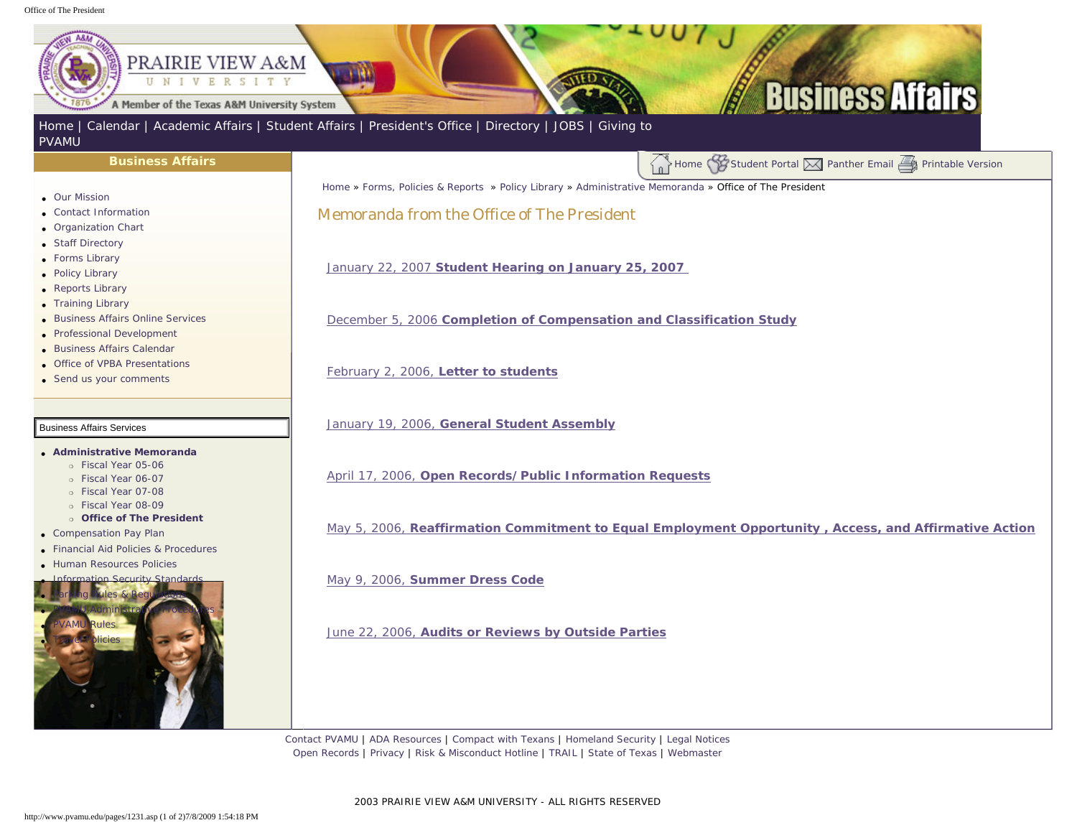## <span id="page-0-0"></span>Office of The President



2003 PRAIRIE VIEW A&M UNIVERSITY - ALL RIGHTS RESERVED